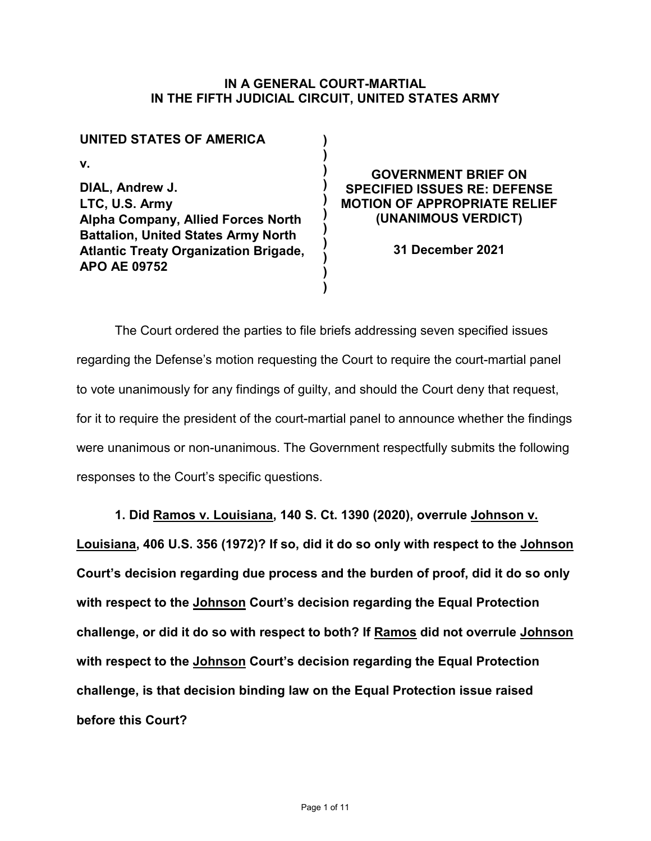## **IN A GENERAL COURT-MARTIAL IN THE FIFTH JUDICIAL CIRCUIT, UNITED STATES ARMY**

**) ) ) ) ) ) ) ) ) ) )** 

| <b>UNITED STATES OF AMERICA</b>                                                                                                                                                              |
|----------------------------------------------------------------------------------------------------------------------------------------------------------------------------------------------|
| v.                                                                                                                                                                                           |
| DIAL, Andrew J.<br>LTC, U.S. Army<br>Alpha Company, Allied Forces North<br><b>Battalion, United States Army North</b><br><b>Atlantic Treaty Organization Brigade,</b><br><b>APO AE 09752</b> |

**GOVERNMENT BRIEF ON SPECIFIED ISSUES RE: DEFENSE MOTION OF APPROPRIATE RELIEF (UNANIMOUS VERDICT)**

**31 December 2021**

The Court ordered the parties to file briefs addressing seven specified issues regarding the Defense's motion requesting the Court to require the court-martial panel to vote unanimously for any findings of guilty, and should the Court deny that request, for it to require the president of the court-martial panel to announce whether the findings were unanimous or non-unanimous. The Government respectfully submits the following responses to the Court's specific questions.

**1. Did Ramos v. Louisiana, 140 S. Ct. 1390 (2020), overrule Johnson v.** 

**Louisiana, 406 U.S. 356 (1972)? If so, did it do so only with respect to the Johnson Court's decision regarding due process and the burden of proof, did it do so only with respect to the Johnson Court's decision regarding the Equal Protection challenge, or did it do so with respect to both? If Ramos did not overrule Johnson with respect to the Johnson Court's decision regarding the Equal Protection challenge, is that decision binding law on the Equal Protection issue raised before this Court?**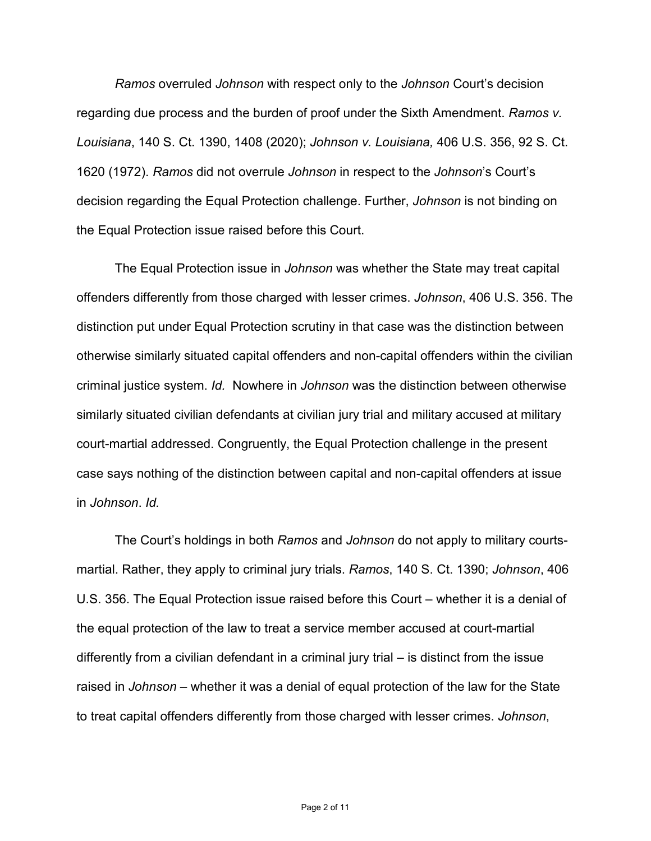*Ramos* overruled *Johnson* with respect only to the *Johnson* Court's decision regarding due process and the burden of proof under the Sixth Amendment. *Ramos v. Louisiana*, 140 S. Ct. 1390, 1408 (2020); *Johnson v. Louisiana,* 406 U.S. 356, 92 S. Ct. 1620 (1972). *Ramos* did not overrule *Johnson* in respect to the *Johnson*'s Court's decision regarding the Equal Protection challenge. Further, *Johnson* is not binding on the Equal Protection issue raised before this Court.

The Equal Protection issue in *Johnson* was whether the State may treat capital offenders differently from those charged with lesser crimes. *Johnson*, 406 U.S. 356. The distinction put under Equal Protection scrutiny in that case was the distinction between otherwise similarly situated capital offenders and non-capital offenders within the civilian criminal justice system. *Id.* Nowhere in *Johnson* was the distinction between otherwise similarly situated civilian defendants at civilian jury trial and military accused at military court-martial addressed. Congruently, the Equal Protection challenge in the present case says nothing of the distinction between capital and non-capital offenders at issue in *Johnson*. *Id.*

The Court's holdings in both *Ramos* and *Johnson* do not apply to military courtsmartial. Rather, they apply to criminal jury trials. *Ramos*, 140 S. Ct. 1390; *Johnson*, 406 U.S. 356. The Equal Protection issue raised before this Court – whether it is a denial of the equal protection of the law to treat a service member accused at court-martial differently from a civilian defendant in a criminal jury trial – is distinct from the issue raised in *Johnson* – whether it was a denial of equal protection of the law for the State to treat capital offenders differently from those charged with lesser crimes. *Johnson*,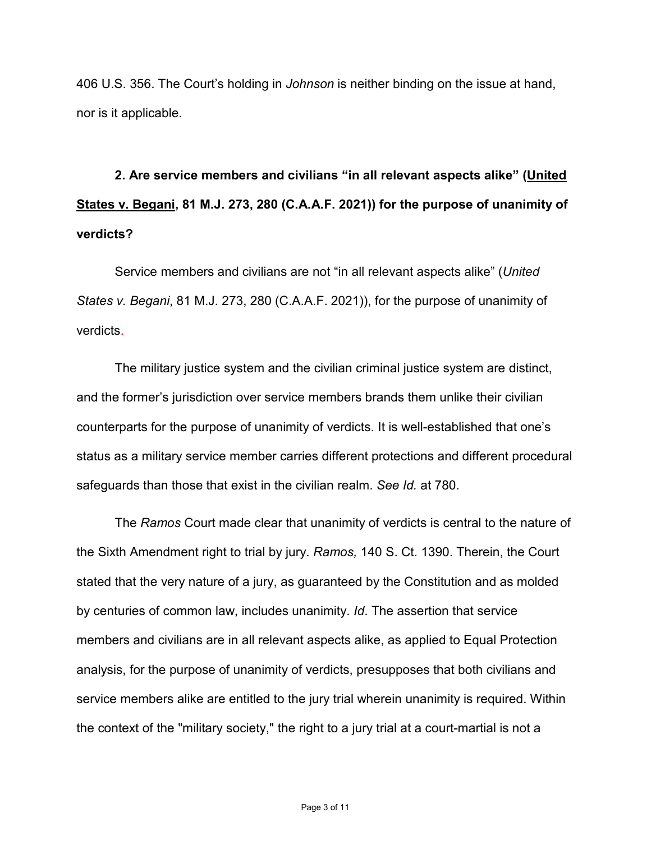406 U.S. 356. The Court's holding in *Johnson* is neither binding on the issue at hand, nor is it applicable.

**2. Are service members and civilians "in all relevant aspects alike" (United States v. Begani, 81 M.J. 273, 280 (C.A.A.F. 2021)) for the purpose of unanimity of verdicts?**

Service members and civilians are not "in all relevant aspects alike" (*United States v. Begani*, 81 M.J. 273, 280 (C.A.A.F. 2021)), for the purpose of unanimity of verdicts.

The military justice system and the civilian criminal justice system are distinct, and the former's jurisdiction over service members brands them unlike their civilian counterparts for the purpose of unanimity of verdicts. It is well-established that one's status as a military service member carries different protections and different procedural safeguards than those that exist in the civilian realm. *See Id.* at 780.

The *Ramos* Court made clear that unanimity of verdicts is central to the nature of the Sixth Amendment right to trial by jury. *Ramos,* 140 S. Ct. 1390. Therein, the Court stated that the very nature of a jury, as guaranteed by the Constitution and as molded by centuries of common law, includes unanimity. *Id*. The assertion that service members and civilians are in all relevant aspects alike, as applied to Equal Protection analysis, for the purpose of unanimity of verdicts, presupposes that both civilians and service members alike are entitled to the jury trial wherein unanimity is required. Within the context of the "military society," the right to a jury trial at a court-martial is not a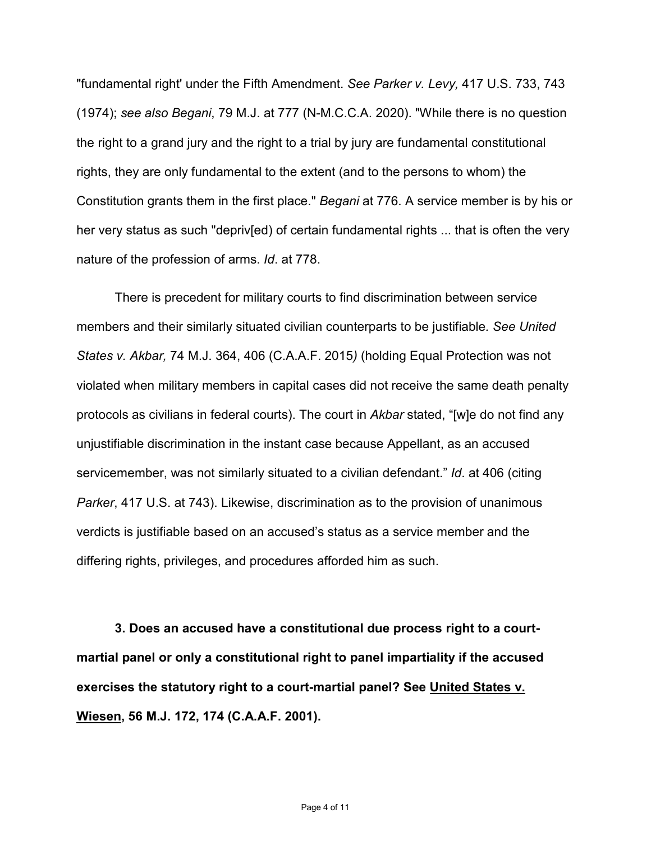"fundamental right' under the Fifth Amendment. *See Parker v. Levy,* 417 U.S. 733, 743 (1974); *see also Begani*, 79 M.J. at 777 (N-M.C.C.A. 2020). "While there is no question the right to a grand jury and the right to a trial by jury are fundamental constitutional rights, they are only fundamental to the extent (and to the persons to whom) the Constitution grants them in the first place." *Begani* at 776. A service member is by his or her very status as such "depriv[ed) of certain fundamental rights ... that is often the very nature of the profession of arms. *Id*. at 778.

There is precedent for military courts to find discrimination between service members and their similarly situated civilian counterparts to be justifiable*. See United States v. Akbar,* 74 M.J. 364, 406 (C.A.A.F. 2015*)* (holding Equal Protection was not violated when military members in capital cases did not receive the same death penalty protocols as civilians in federal courts). The court in *Akbar* stated, "[w]e do not find any unjustifiable discrimination in the instant case because Appellant, as an accused servicemember, was not similarly situated to a civilian defendant." *Id*. at 406 (citing *Parker*, 417 U.S. at 743). Likewise, discrimination as to the provision of unanimous verdicts is justifiable based on an accused's status as a service member and the differing rights, privileges, and procedures afforded him as such.

**3. Does an accused have a constitutional due process right to a courtmartial panel or only a constitutional right to panel impartiality if the accused exercises the statutory right to a court-martial panel? See United States v. Wiesen, 56 M.J. 172, 174 (C.A.A.F. 2001).**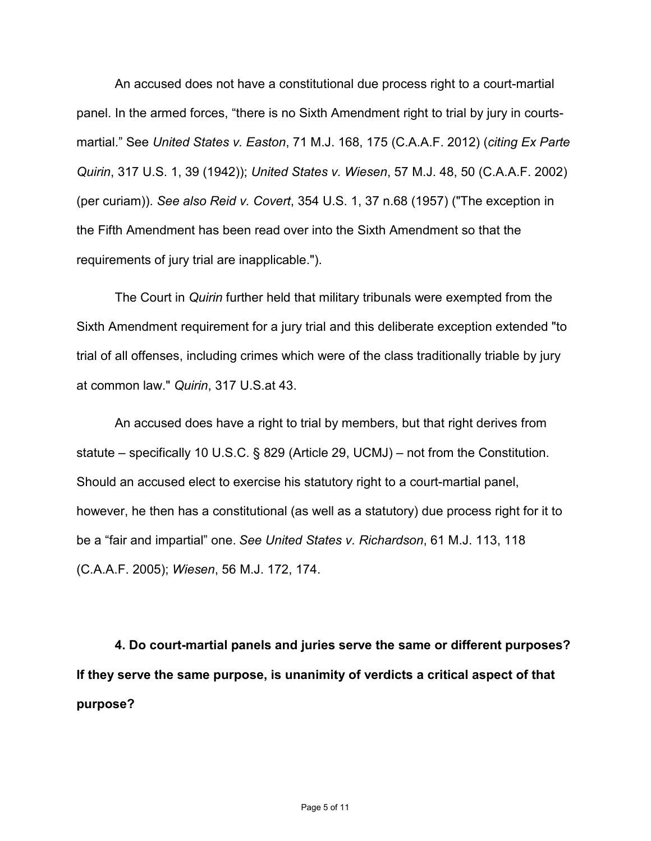An accused does not have a constitutional due process right to a court-martial panel. In the armed forces, "there is no Sixth Amendment right to trial by jury in courtsmartial." See *United States v. Easton*, 71 M.J. 168, 175 (C.A.A.F. 2012) (*citing Ex Parte Quirin*, 317 U.S. 1, 39 (1942)); *United States v. Wiesen*, 57 M.J. 48, 50 (C.A.A.F. 2002) (per curiam)). *See also Reid v. Covert*, 354 U.S. 1, 37 n.68 (1957) ("The exception in the Fifth Amendment has been read over into the Sixth Amendment so that the requirements of jury trial are inapplicable.").

The Court in *Quirin* further held that military tribunals were exempted from the Sixth Amendment requirement for a jury trial and this deliberate exception extended "to trial of all offenses, including crimes which were of the class traditionally triable by jury at common law." *Quirin*, 317 U.S.at 43.

An accused does have a right to trial by members, but that right derives from statute – specifically 10 U.S.C. § 829 (Article 29, UCMJ) – not from the Constitution. Should an accused elect to exercise his statutory right to a court-martial panel, however, he then has a constitutional (as well as a statutory) due process right for it to be a "fair and impartial" one. *See United States v. Richardson*, 61 M.J. 113, 118 (C.A.A.F. 2005); *Wiesen*, 56 M.J. 172, 174.

**4. Do court-martial panels and juries serve the same or different purposes? If they serve the same purpose, is unanimity of verdicts a critical aspect of that purpose?**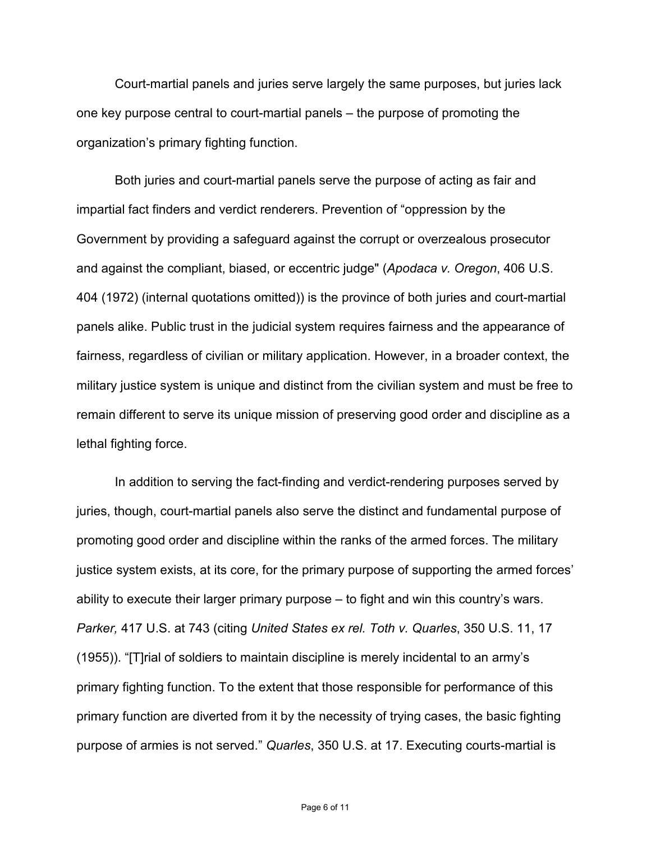Court-martial panels and juries serve largely the same purposes, but juries lack one key purpose central to court-martial panels – the purpose of promoting the organization's primary fighting function.

Both juries and court-martial panels serve the purpose of acting as fair and impartial fact finders and verdict renderers. Prevention of "oppression by the Government by providing a safeguard against the corrupt or overzealous prosecutor and against the compliant, biased, or eccentric judge" (*Apodaca v. Oregon*, 406 U.S. 404 (1972) (internal quotations omitted)) is the province of both juries and court-martial panels alike. Public trust in the judicial system requires fairness and the appearance of fairness, regardless of civilian or military application. However, in a broader context, the military justice system is unique and distinct from the civilian system and must be free to remain different to serve its unique mission of preserving good order and discipline as a lethal fighting force.

In addition to serving the fact-finding and verdict-rendering purposes served by juries, though, court-martial panels also serve the distinct and fundamental purpose of promoting good order and discipline within the ranks of the armed forces. The military justice system exists, at its core, for the primary purpose of supporting the armed forces' ability to execute their larger primary purpose – to fight and win this country's wars. *Parker,* 417 U.S. at 743 (citing *United States ex rel. Toth v. Quarles*, 350 U.S. 11, 17 (1955)). "[T]rial of soldiers to maintain discipline is merely incidental to an army's primary fighting function. To the extent that those responsible for performance of this primary function are diverted from it by the necessity of trying cases, the basic fighting purpose of armies is not served." *Quarles*, 350 U.S. at 17. Executing courts-martial is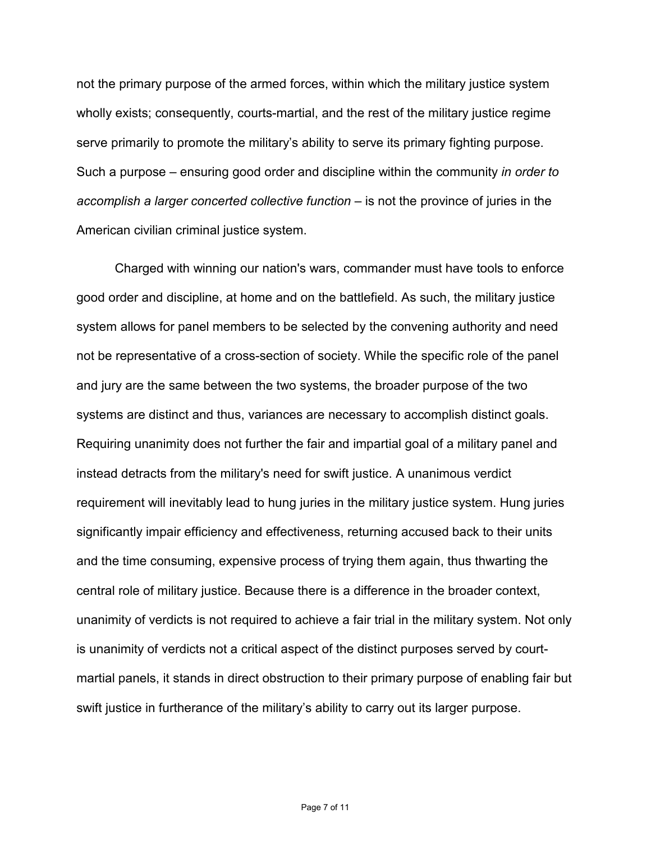not the primary purpose of the armed forces, within which the military justice system wholly exists; consequently, courts-martial, and the rest of the military justice regime serve primarily to promote the military's ability to serve its primary fighting purpose. Such a purpose – ensuring good order and discipline within the community *in order to accomplish a larger concerted collective function* – is not the province of juries in the American civilian criminal justice system.

Charged with winning our nation's wars, commander must have tools to enforce good order and discipline, at home and on the battlefield. As such, the military justice system allows for panel members to be selected by the convening authority and need not be representative of a cross-section of society. While the specific role of the panel and jury are the same between the two systems, the broader purpose of the two systems are distinct and thus, variances are necessary to accomplish distinct goals. Requiring unanimity does not further the fair and impartial goal of a military panel and instead detracts from the military's need for swift justice. A unanimous verdict requirement will inevitably lead to hung juries in the military justice system. Hung juries significantly impair efficiency and effectiveness, returning accused back to their units and the time consuming, expensive process of trying them again, thus thwarting the central role of military justice. Because there is a difference in the broader context, unanimity of verdicts is not required to achieve a fair trial in the military system. Not only is unanimity of verdicts not a critical aspect of the distinct purposes served by courtmartial panels, it stands in direct obstruction to their primary purpose of enabling fair but swift justice in furtherance of the military's ability to carry out its larger purpose.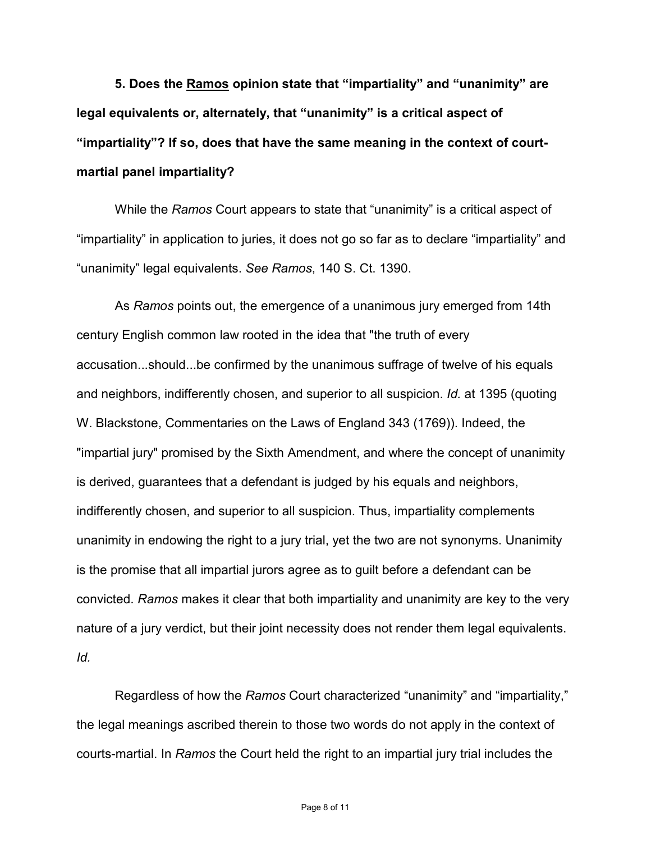**5. Does the Ramos opinion state that "impartiality" and "unanimity" are legal equivalents or, alternately, that "unanimity" is a critical aspect of "impartiality"? If so, does that have the same meaning in the context of courtmartial panel impartiality?**

While the *Ramos* Court appears to state that "unanimity" is a critical aspect of "impartiality" in application to juries, it does not go so far as to declare "impartiality" and "unanimity" legal equivalents. *See Ramos*, 140 S. Ct. 1390.

As *Ramos* points out, the emergence of a unanimous jury emerged from 14th century English common law rooted in the idea that "the truth of every accusation...should...be confirmed by the unanimous suffrage of twelve of his equals and neighbors, indifferently chosen, and superior to all suspicion. *Id.* at 1395 (quoting W. Blackstone, Commentaries on the Laws of England 343 (1769)). Indeed, the "impartial jury" promised by the Sixth Amendment, and where the concept of unanimity is derived, guarantees that a defendant is judged by his equals and neighbors, indifferently chosen, and superior to all suspicion. Thus, impartiality complements unanimity in endowing the right to a jury trial, yet the two are not synonyms. Unanimity is the promise that all impartial jurors agree as to guilt before a defendant can be convicted. *Ramos* makes it clear that both impartiality and unanimity are key to the very nature of a jury verdict, but their joint necessity does not render them legal equivalents. *Id.*

Regardless of how the *Ramos* Court characterized "unanimity" and "impartiality," the legal meanings ascribed therein to those two words do not apply in the context of courts-martial. In *Ramos* the Court held the right to an impartial jury trial includes the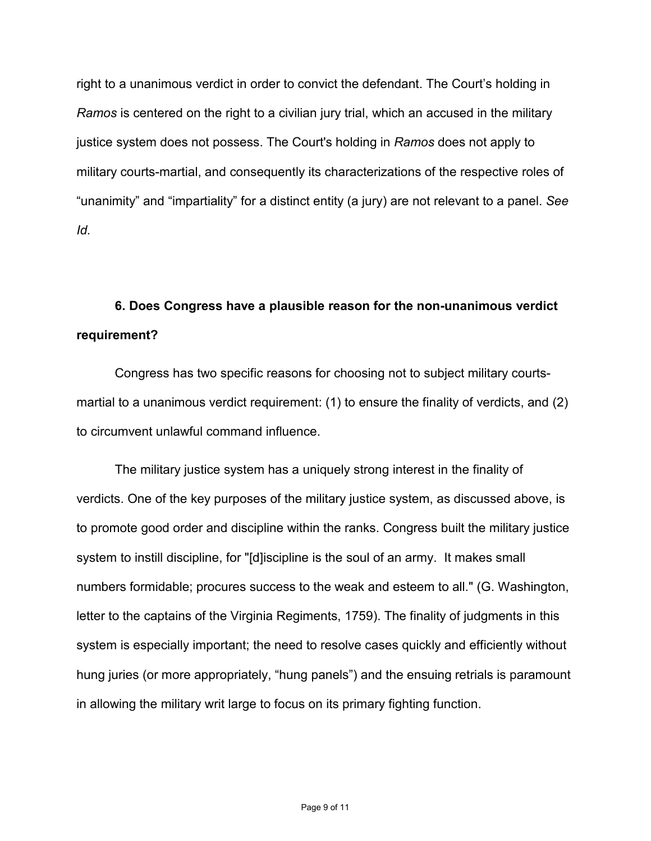right to a unanimous verdict in order to convict the defendant. The Court's holding in *Ramos* is centered on the right to a civilian jury trial, which an accused in the military justice system does not possess. The Court's holding in *Ramos* does not apply to military courts-martial, and consequently its characterizations of the respective roles of "unanimity" and "impartiality" for a distinct entity (a jury) are not relevant to a panel. *See Id.*

## **6. Does Congress have a plausible reason for the non-unanimous verdict requirement?**

Congress has two specific reasons for choosing not to subject military courtsmartial to a unanimous verdict requirement: (1) to ensure the finality of verdicts, and (2) to circumvent unlawful command influence.

The military justice system has a uniquely strong interest in the finality of verdicts. One of the key purposes of the military justice system, as discussed above, is to promote good order and discipline within the ranks. Congress built the military justice system to instill discipline, for "[d]iscipline is the soul of an army. It makes small numbers formidable; procures success to the weak and esteem to all." (G. Washington, letter to the captains of the Virginia Regiments, 1759). The finality of judgments in this system is especially important; the need to resolve cases quickly and efficiently without hung juries (or more appropriately, "hung panels") and the ensuing retrials is paramount in allowing the military writ large to focus on its primary fighting function.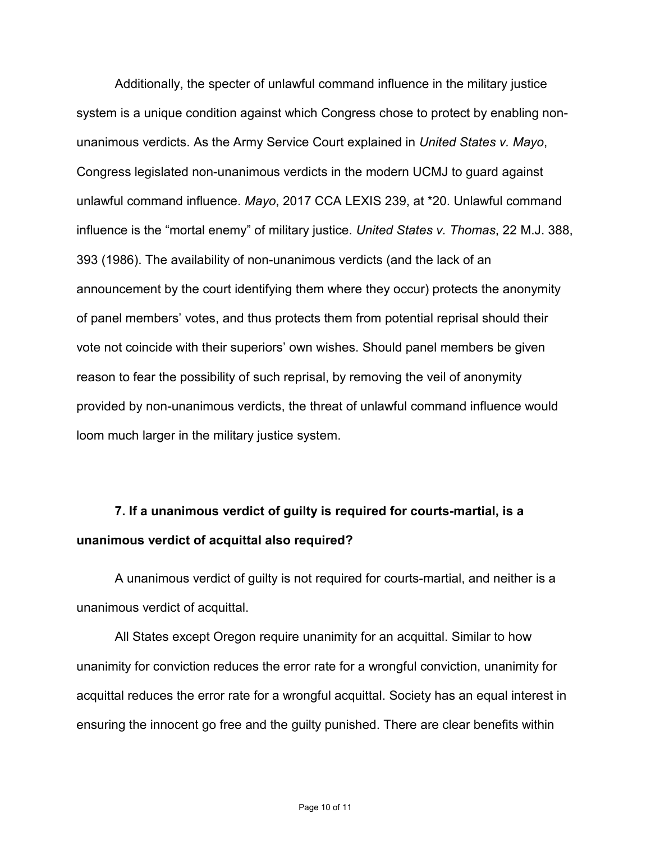Additionally, the specter of unlawful command influence in the military justice system is a unique condition against which Congress chose to protect by enabling nonunanimous verdicts. As the Army Service Court explained in *United States v. Mayo*, Congress legislated non-unanimous verdicts in the modern UCMJ to guard against unlawful command influence. *Mayo*, 2017 CCA LEXIS 239, at \*20. Unlawful command influence is the "mortal enemy" of military justice. *United States v. Thomas*, 22 M.J. 388, 393 (1986). The availability of non-unanimous verdicts (and the lack of an announcement by the court identifying them where they occur) protects the anonymity of panel members' votes, and thus protects them from potential reprisal should their vote not coincide with their superiors' own wishes. Should panel members be given reason to fear the possibility of such reprisal, by removing the veil of anonymity provided by non-unanimous verdicts, the threat of unlawful command influence would loom much larger in the military justice system.

## **7. If a unanimous verdict of guilty is required for courts-martial, is a unanimous verdict of acquittal also required?**

A unanimous verdict of guilty is not required for courts-martial, and neither is a unanimous verdict of acquittal.

All States except Oregon require unanimity for an acquittal. Similar to how unanimity for conviction reduces the error rate for a wrongful conviction, unanimity for acquittal reduces the error rate for a wrongful acquittal. Society has an equal interest in ensuring the innocent go free and the guilty punished. There are clear benefits within